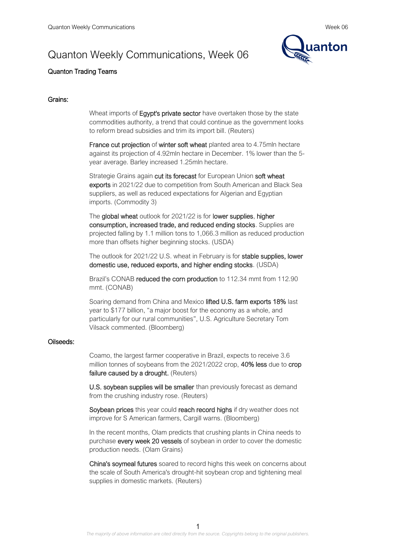# Quanton Weekly Communications, Week 06



# Quanton Trading Teams

## Grains:

Wheat imports of **Egypt's private sector** have overtaken those by the state commodities authority, a trend that could continue as the government looks to reform bread subsidies and trim its import bill. (Reuters)

France cut projection of winter soft wheat planted area to 4.75mln hectare against its projection of 4.92mln hectare in December. 1% lower than the 5 year average. Barley increased 1.25mln hectare.

Strategie Grains again cut its forecast for European Union soft wheat exports in 2021/22 due to competition from South American and Black Sea suppliers, as well as reduced expectations for Algerian and Egyptian imports. (Commodity 3)

The global wheat outlook for 2021/22 is for lower supplies, higher consumption, increased trade, and reduced ending stocks. Supplies are projected falling by 1.1 million tons to 1,066.3 million as reduced production more than offsets higher beginning stocks. (USDA)

The outlook for 2021/22 U.S. wheat in February is for stable supplies, lower domestic use, reduced exports, and higher ending stocks. (USDA)

Brazil's CONAB reduced the corn production to 112.34 mmt from 112.90 mmt. (CONAB)

Soaring demand from China and Mexico lifted U.S. farm exports 18% last year to \$177 billion, "a major boost for the economy as a whole, and particularly for our rural communities", U.S. Agriculture Secretary Tom Vilsack commented. (Bloomberg)

## Oilseeds:

Coamo, the largest farmer cooperative in Brazil, expects to receive 3.6 million tonnes of soybeans from the 2021/2022 crop, 40% less due to crop failure caused by a drought. (Reuters)

U.S. soybean supplies will be smaller than previously forecast as demand from the crushing industry rose. (Reuters)

Soybean prices this year could reach record highs if dry weather does not improve for S American farmers, Cargill warns. (Bloomberg)

In the recent months, Olam predicts that crushing plants in China needs to purchase every week 20 vessels of soybean in order to cover the domestic production needs. (Olam Grains)

China's soymeal futures soared to record highs this week on concerns about the scale of South America's drought-hit soybean crop and tightening meal supplies in domestic markets. (Reuters)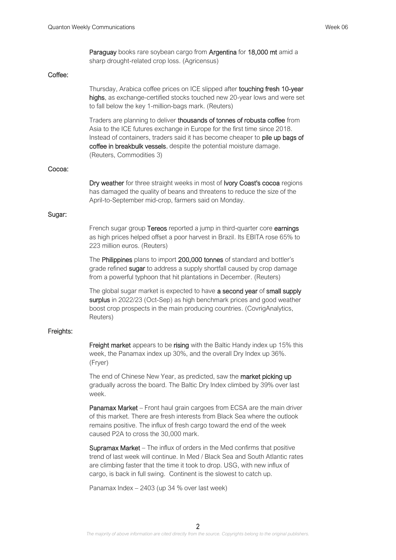Paraguay books rare soybean cargo from Argentina for 18,000 mt amid a sharp drought-related crop loss. (Agricensus)

## Coffee:

Thursday, Arabica coffee prices on ICE slipped after touching fresh 10-year highs, as exchange-certified stocks touched new 20-year lows and were set to fall below the key 1-million-bags mark. (Reuters)

Traders are planning to deliver thousands of tonnes of robusta coffee from Asia to the ICE futures exchange in Europe for the first time since 2018. Instead of containers, traders said it has become cheaper to pile up bags of coffee in breakbulk vessels, despite the potential moisture damage. (Reuters, Commodities 3)

#### Cocoa:

Dry weather for three straight weeks in most of Ivory Coast's cocoa regions has damaged the quality of beans and threatens to reduce the size of the April-to-September mid-crop, farmers said on Monday.

## Sugar:

French sugar group Tereos reported a jump in third-quarter core earnings as high prices helped offset a poor harvest in Brazil. Its EBITA rose 65% to 223 million euros. (Reuters)

The Philippines plans to import 200,000 tonnes of standard and bottler's grade refined **sugar** to address a supply shortfall caused by crop damage from a powerful typhoon that hit plantations in December. (Reuters)

The global sugar market is expected to have a second year of small supply surplus in 2022/23 (Oct-Sep) as high benchmark prices and good weather boost crop prospects in the main producing countries. (CovrigAnalytics, Reuters)

## Freights:

Freight market appears to be rising with the Baltic Handy index up 15% this week, the Panamax index up 30%, and the overall Dry Index up 36%. (Fryer)

The end of Chinese New Year, as predicted, saw the **market picking up** gradually across the board. The Baltic Dry Index climbed by 39% over last week.

Panamax Market – Front haul grain cargoes from ECSA are the main driver of this market. There are fresh interests from Black Sea where the outlook remains positive. The influx of fresh cargo toward the end of the week caused P2A to cross the 30,000 mark.

Supramax Market – The influx of orders in the Med confirms that positive trend of last week will continue. In Med / Black Sea and South Atlantic rates are climbing faster that the time it took to drop. USG, with new influx of cargo, is back in full swing. Continent is the slowest to catch up.

Panamax Index – 2403 (up 34 % over last week)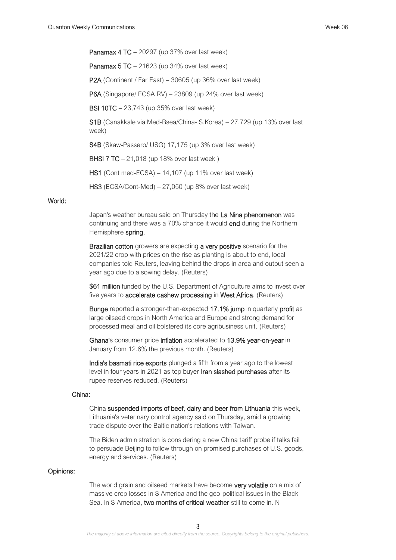Panamax 4 TC – 20297 (up 37% over last week)

**Panamax 5 TC** – 21623 (up 34% over last week)

P2A (Continent / Far East) – 30605 (up 36% over last week)

P6A (Singapore/ ECSA RV) – 23809 (up 24% over last week)

BSI 10TC – 23,743 (up 35% over last week)

S1B (Canakkale via Med-Bsea/China- S.Korea) – 27,729 (up 13% over last week)

S4B (Skaw-Passero/ USG) 17,175 (up 3% over last week)

**BHSI 7 TC** – 21,018 (up 18% over last week)

HS1 (Cont med-ECSA) – 14,107 (up 11% over last week)

HS3 (ECSA/Cont-Med) – 27,050 (up 8% over last week)

# World:

Japan's weather bureau said on Thursday the La Nina phenomenon was continuing and there was a 70% chance it would end during the Northern Hemisphere spring.

Brazilian cotton growers are expecting a very positive scenario for the 2021/22 crop with prices on the rise as planting is about to end, local companies told Reuters, leaving behind the drops in area and output seen a year ago due to a sowing delay. (Reuters)

\$61 million funded by the U.S. Department of Agriculture aims to invest over five years to accelerate cashew processing in West Africa. (Reuters)

Bunge reported a stronger-than-expected 17.1% jump in quarterly profit as large oilseed crops in North America and Europe and strong demand for processed meal and oil bolstered its core agribusiness unit. (Reuters)

Ghana's consumer price inflation accelerated to 13.9% year-on-year in January from 12.6% the previous month. (Reuters)

India's basmati rice exports plunged a fifth from a year ago to the lowest level in four years in 2021 as top buyer Iran slashed purchases after its rupee reserves reduced. (Reuters)

## China:

China suspended imports of beef, dairy and beer from Lithuania this week, Lithuania's veterinary control agency said on Thursday, amid a growing trade dispute over the Baltic nation's relations with Taiwan.

The Biden administration is considering a new China tariff probe if talks fail to persuade Beijing to follow through on promised purchases of U.S. goods, energy and services. (Reuters)

## Opinions:

The world grain and oilseed markets have become very volatile on a mix of massive crop losses in S America and the geo-political issues in the Black Sea. In S America, two months of critical weather still to come in. N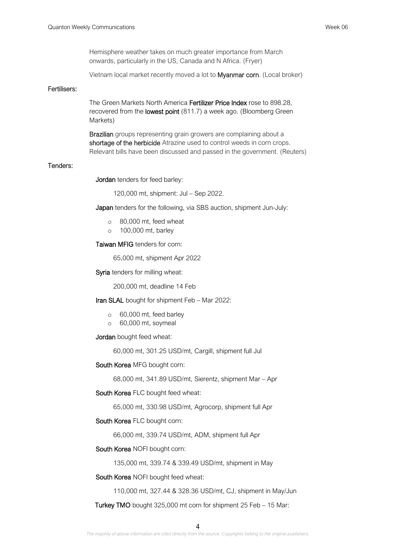Hemisphere weather takes on much greater importance from March onwards, particularly in the US, Canada and N Africa. (Fryer)

Vietnam local market recently moved a lot to Myanmar corn. (Local broker)

## Fertilisers:

The Green Markets North America Fertilizer Price Index rose to 898.28, recovered from the **lowest point** (811.7) a week ago. (Bloomberg Green Markets)

Brazilian groups representing grain growers are complaining about a shortage of the herbicide Atrazine used to control weeds in corn crops. Relevant bills have been discussed and passed in the government. (Reuters)

#### Tenders:

Jordan tenders for feed barley:

120,000 mt, shipment: Jul – Sep 2022.

Japan tenders for the following, via SBS auction, shipment Jun-July:

- o 80,000 mt, feed wheat
- o 100,000 mt, barley

Taiwan MFIG tenders for corn:

65,000 mt, shipment Apr 2022

Syria tenders for milling wheat:

200,000 mt, deadline 14 Feb

Iran SLAL bought for shipment Feb - Mar 2022:

- o 60,000 mt, feed barley
- o 60,000 mt, soymeal

Jordan bought feed wheat:

60,000 mt, 301.25 USD/mt, Cargill, shipment full Jul

South Korea MFG bought corn:

68,000 mt, 341.89 USD/mt, Sierentz, shipment Mar – Apr

South Korea FLC bought feed wheat:

65,000 mt, 330.98 USD/mt, Agrocorp, shipment full Apr

## South Korea FLC bought corn:

66,000 mt, 339.74 USD/mt, ADM, shipment full Apr

#### South Korea NOFI bought corn:

135,000 mt, 339.74 & 339.49 USD/mt, shipment in May

South Korea NOFI bought feed wheat:

110,000 mt, 327.44 & 328.36 USD/mt, CJ, shipment in May/Jun

Turkey TMO bought 325,000 mt corn for shipment 25 Feb – 15 Mar: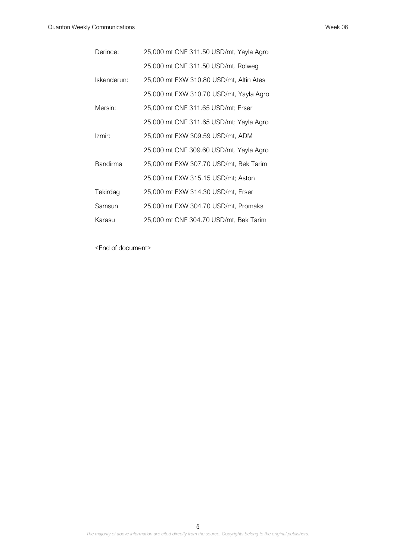| Derince:        | 25,000 mt CNF 311.50 USD/mt, Yayla Agro |
|-----------------|-----------------------------------------|
|                 | 25,000 mt CNF 311.50 USD/mt, Rolweg     |
| Iskenderun:     | 25,000 mt EXW 310.80 USD/mt, Altin Ates |
|                 | 25,000 mt EXW 310.70 USD/mt, Yayla Agro |
| Mersin:         | 25,000 mt CNF 311.65 USD/mt; Erser      |
|                 | 25,000 mt CNF 311.65 USD/mt; Yayla Agro |
| Izmir:          | 25,000 mt EXW 309.59 USD/mt, ADM        |
|                 | 25,000 mt CNF 309.60 USD/mt, Yayla Agro |
| <b>Bandirma</b> | 25,000 mt EXW 307.70 USD/mt, Bek Tarim  |
|                 | 25,000 mt EXW 315.15 USD/mt; Aston      |
| Tekirdag        | 25,000 mt EXW 314.30 USD/mt, Erser      |
| Samsun          | 25,000 mt EXW 304.70 USD/mt, Promaks    |
| Karasu          | 25,000 mt CNF 304.70 USD/mt, Bek Tarim  |

<End of document>

5